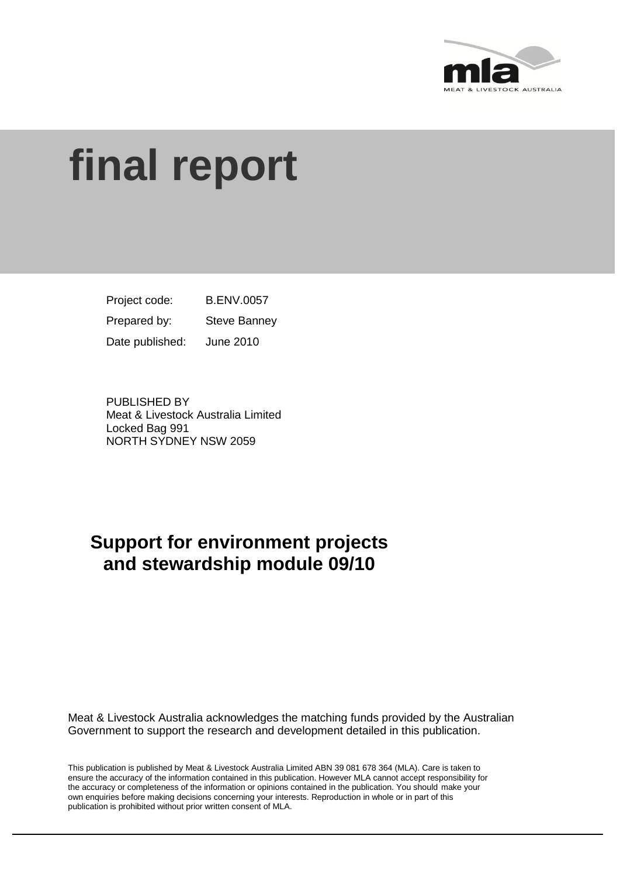

# **final report**

B.ENV.0057 Steve Banney June 2010 Project code: Prepared by: Date published:

PUBLISHED BY Meat & Livestock Australia Limited Locked Bag 991 NORTH SYDNEY NSW 2059

## **Support for environment projects and stewardship module 09/10**

Meat & Livestock Australia acknowledges the matching funds provided by the Australian Government to support the research and development detailed in this publication.

This publication is published by Meat & Livestock Australia Limited ABN 39 081 678 364 (MLA). Care is taken to ensure the accuracy of the information contained in this publication. However MLA cannot accept responsibility for the accuracy or completeness of the information or opinions contained in the publication. You should make your own enquiries before making decisions concerning your interests. Reproduction in whole or in part of this publication is prohibited without prior written consent of MLA.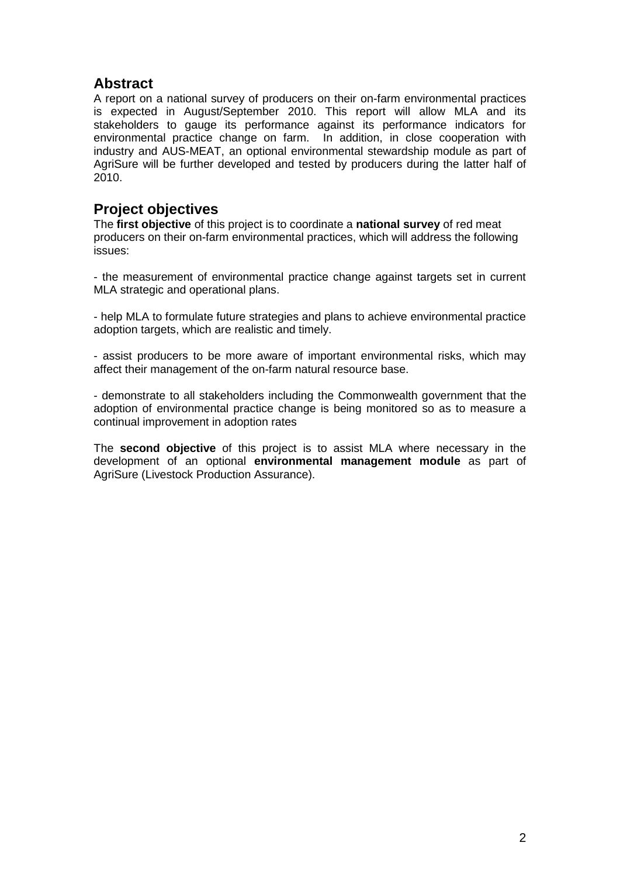## **Abstract**

A report on a national survey of producers on their on-farm environmental practices is expected in August/September 2010. This report will allow MLA and its stakeholders to gauge its performance against its performance indicators for environmental practice change on farm. In addition, in close cooperation with industry and AUS-MEAT, an optional environmental stewardship module as part of AgriSure will be further developed and tested by producers during the latter half of 2010.

## **Project objectives**

The **first objective** of this project is to coordinate a **national survey** of red meat producers on their on-farm environmental practices, which will address the following issues:

- the measurement of environmental practice change against targets set in current MLA strategic and operational plans.

- help MLA to formulate future strategies and plans to achieve environmental practice adoption targets, which are realistic and timely.

- assist producers to be more aware of important environmental risks, which may affect their management of the on-farm natural resource base.

- demonstrate to all stakeholders including the Commonwealth government that the adoption of environmental practice change is being monitored so as to measure a continual improvement in adoption rates

The **second objective** of this project is to assist MLA where necessary in the development of an optional **environmental management module** as part of AgriSure (Livestock Production Assurance).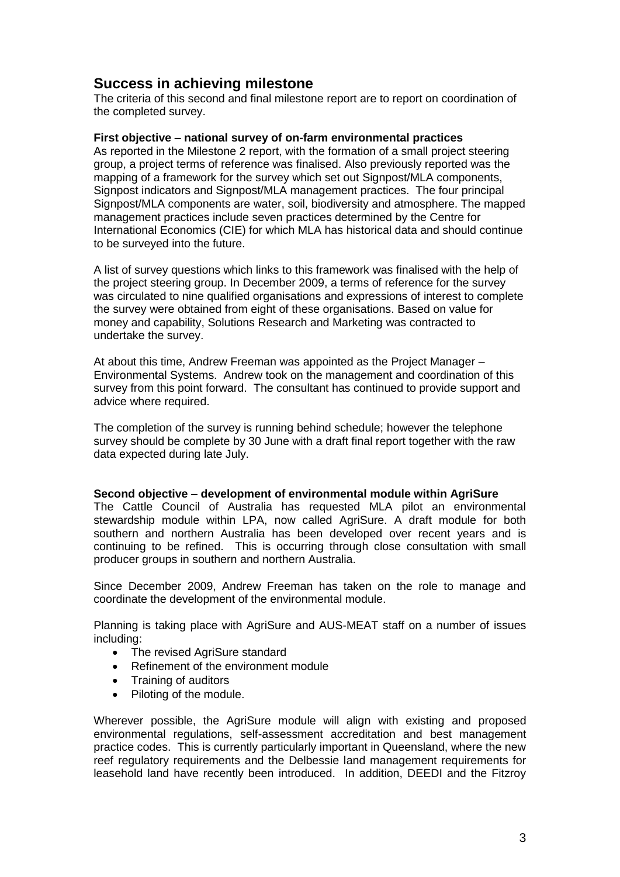## **Success in achieving milestone**

The criteria of this second and final milestone report are to report on coordination of the completed survey.

#### **First objective – national survey of on-farm environmental practices**

As reported in the Milestone 2 report, with the formation of a small project steering group, a project terms of reference was finalised. Also previously reported was the mapping of a framework for the survey which set out Signpost/MLA components, Signpost indicators and Signpost/MLA management practices. The four principal Signpost/MLA components are water, soil, biodiversity and atmosphere. The mapped management practices include seven practices determined by the Centre for International Economics (CIE) for which MLA has historical data and should continue to be surveyed into the future.

A list of survey questions which links to this framework was finalised with the help of the project steering group. In December 2009, a terms of reference for the survey was circulated to nine qualified organisations and expressions of interest to complete the survey were obtained from eight of these organisations. Based on value for money and capability, Solutions Research and Marketing was contracted to undertake the survey.

At about this time, Andrew Freeman was appointed as the Project Manager – Environmental Systems. Andrew took on the management and coordination of this survey from this point forward. The consultant has continued to provide support and advice where required.

The completion of the survey is running behind schedule; however the telephone survey should be complete by 30 June with a draft final report together with the raw data expected during late July.

#### **Second objective – development of environmental module within AgriSure**

The Cattle Council of Australia has requested MLA pilot an environmental stewardship module within LPA, now called AgriSure. A draft module for both southern and northern Australia has been developed over recent years and is continuing to be refined. This is occurring through close consultation with small producer groups in southern and northern Australia.

Since December 2009, Andrew Freeman has taken on the role to manage and coordinate the development of the environmental module.

Planning is taking place with AgriSure and AUS-MEAT staff on a number of issues including:

- The revised AgriSure standard
- Refinement of the environment module
- Training of auditors
- Piloting of the module.

Wherever possible, the AgriSure module will align with existing and proposed environmental regulations, self-assessment accreditation and best management practice codes. This is currently particularly important in Queensland, where the new reef regulatory requirements and the Delbessie land management requirements for leasehold land have recently been introduced. In addition, DEEDI and the Fitzroy